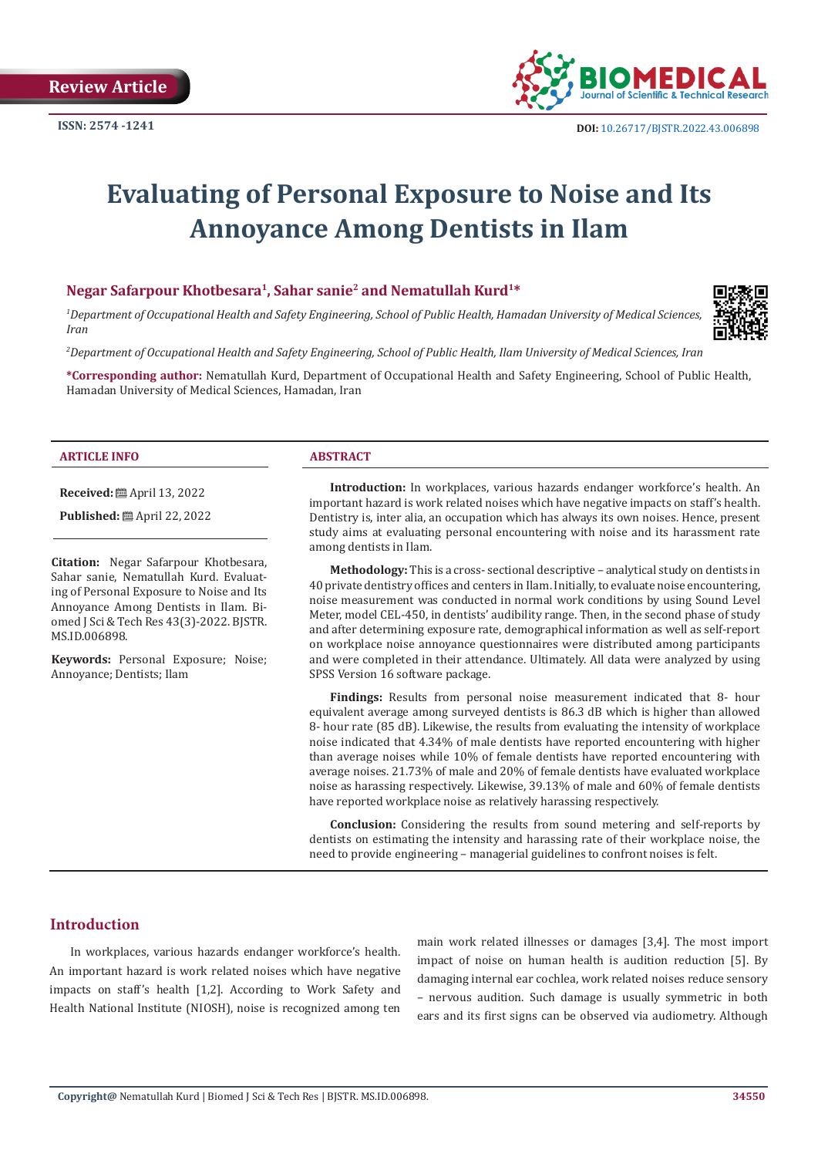

# **Evaluating of Personal Exposure to Noise and Its Annoyance Among Dentists in Ilam**

#### **Negar Safarpour Khotbesara1, Sahar sanie2 and Nematullah Kurd1\***

*1 Department of Occupational Health and Safety Engineering, School of Public Health, Hamadan University of Medical Sciences, Iran* 

*2 Department of Occupational Health and Safety Engineering, School of Public Health, Ilam University of Medical Sciences, Iran*

**\*Corresponding author:** Nematullah Kurd, Department of Occupational Health and Safety Engineering, School of Public Health, Hamadan University of Medical Sciences, Hamadan, Iran

#### **ARTICLE INFO ABSTRACT**

**Received:** ■ April 13, 2022

**Published:** ■ April 22, 2022

**Citation:** Negar Safarpour Khotbesara, Sahar sanie, Nematullah Kurd. Evaluating of Personal Exposure to Noise and Its Annoyance Among Dentists in Ilam. Biomed J Sci & Tech Res 43(3)-2022. BJSTR. MS.ID.006898.

**Keywords:** Personal Exposure; Noise; Annoyance; Dentists; Ilam

**Introduction:** In workplaces, various hazards endanger workforce's health. An important hazard is work related noises which have negative impacts on staff's health. Dentistry is, inter alia, an occupation which has always its own noises. Hence, present study aims at evaluating personal encountering with noise and its harassment rate among dentists in Ilam.

**Methodology:** This is a cross- sectional descriptive – analytical study on dentists in 40 private dentistry offices and centers in Ilam. Initially, to evaluate noise encountering, noise measurement was conducted in normal work conditions by using Sound Level Meter, model CEL-450, in dentists' audibility range. Then, in the second phase of study and after determining exposure rate, demographical information as well as self-report on workplace noise annoyance questionnaires were distributed among participants and were completed in their attendance. Ultimately. All data were analyzed by using SPSS Version 16 software package.

**Findings:** Results from personal noise measurement indicated that 8- hour equivalent average among surveyed dentists is 86.3 dB which is higher than allowed 8- hour rate (85 dB). Likewise, the results from evaluating the intensity of workplace noise indicated that 4.34% of male dentists have reported encountering with higher than average noises while 10% of female dentists have reported encountering with average noises. 21.73% of male and 20% of female dentists have evaluated workplace noise as harassing respectively. Likewise, 39.13% of male and 60% of female dentists have reported workplace noise as relatively harassing respectively.

**Conclusion:** Considering the results from sound metering and self-reports by dentists on estimating the intensity and harassing rate of their workplace noise, the need to provide engineering – managerial guidelines to confront noises is felt.

### **Introduction**

In workplaces, various hazards endanger workforce's health. An important hazard is work related noises which have negative impacts on staff's health [1,2]. According to Work Safety and Health National Institute (NIOSH), noise is recognized among ten main work related illnesses or damages [3,4]. The most import impact of noise on human health is audition reduction [5]. By damaging internal ear cochlea, work related noises reduce sensory – nervous audition. Such damage is usually symmetric in both ears and its first signs can be observed via audiometry. Although

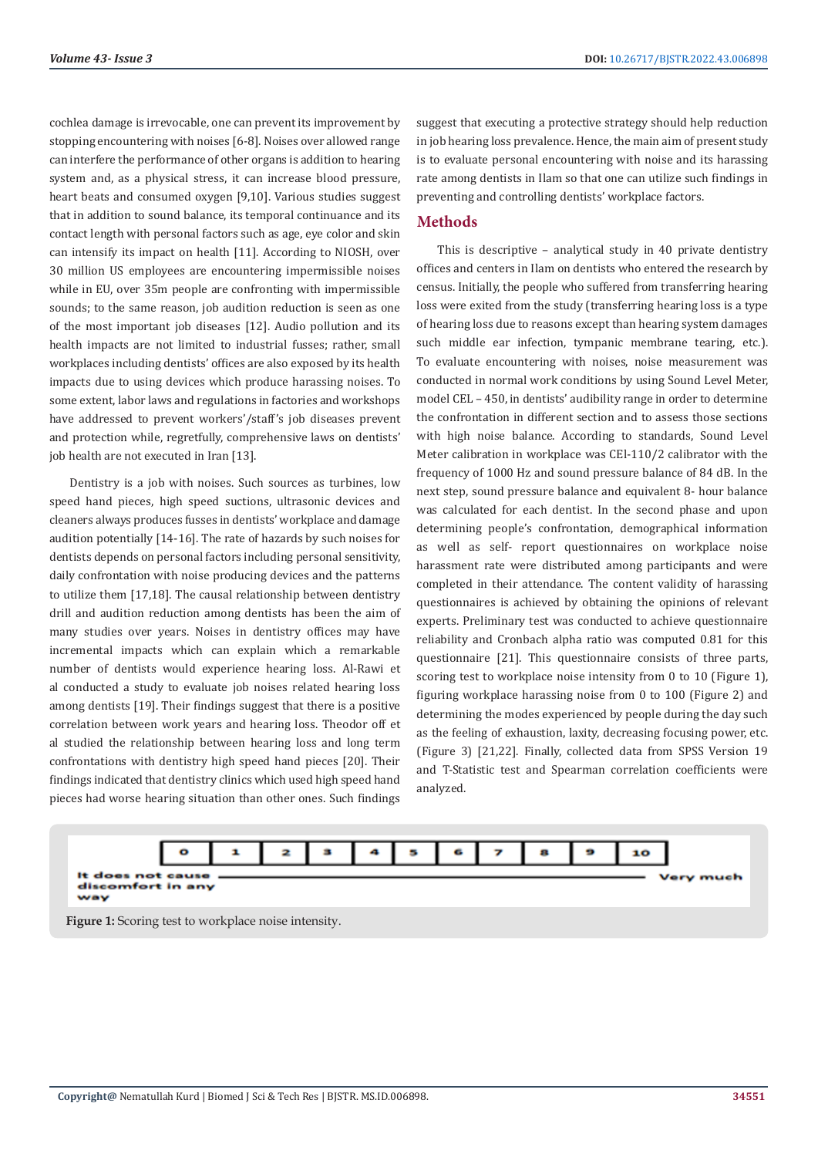cochlea damage is irrevocable, one can prevent its improvement by stopping encountering with noises [6-8]. Noises over allowed range can interfere the performance of other organs is addition to hearing system and, as a physical stress, it can increase blood pressure, heart beats and consumed oxygen [9,10]. Various studies suggest that in addition to sound balance, its temporal continuance and its contact length with personal factors such as age, eye color and skin can intensify its impact on health [11]. According to NIOSH, over 30 million US employees are encountering impermissible noises while in EU, over 35m people are confronting with impermissible sounds; to the same reason, job audition reduction is seen as one of the most important job diseases [12]. Audio pollution and its health impacts are not limited to industrial fusses; rather, small workplaces including dentists' offices are also exposed by its health impacts due to using devices which produce harassing noises. To some extent, labor laws and regulations in factories and workshops have addressed to prevent workers'/staff's job diseases prevent and protection while, regretfully, comprehensive laws on dentists' job health are not executed in Iran [13].

Dentistry is a job with noises. Such sources as turbines, low speed hand pieces, high speed suctions, ultrasonic devices and cleaners always produces fusses in dentists' workplace and damage audition potentially [14-16]. The rate of hazards by such noises for dentists depends on personal factors including personal sensitivity, daily confrontation with noise producing devices and the patterns to utilize them [17,18]. The causal relationship between dentistry drill and audition reduction among dentists has been the aim of many studies over years. Noises in dentistry offices may have incremental impacts which can explain which a remarkable number of dentists would experience hearing loss. Al-Rawi et al conducted a study to evaluate job noises related hearing loss among dentists [19]. Their findings suggest that there is a positive correlation between work years and hearing loss. Theodor off et al studied the relationship between hearing loss and long term confrontations with dentistry high speed hand pieces [20]. Their findings indicated that dentistry clinics which used high speed hand pieces had worse hearing situation than other ones. Such findings

suggest that executing a protective strategy should help reduction in job hearing loss prevalence. Hence, the main aim of present study is to evaluate personal encountering with noise and its harassing rate among dentists in Ilam so that one can utilize such findings in preventing and controlling dentists' workplace factors.

#### **Methods**

This is descriptive – analytical study in 40 private dentistry offices and centers in Ilam on dentists who entered the research by census. Initially, the people who suffered from transferring hearing loss were exited from the study (transferring hearing loss is a type of hearing loss due to reasons except than hearing system damages such middle ear infection, tympanic membrane tearing, etc.). To evaluate encountering with noises, noise measurement was conducted in normal work conditions by using Sound Level Meter, model CEL – 450, in dentists' audibility range in order to determine the confrontation in different section and to assess those sections with high noise balance. According to standards, Sound Level Meter calibration in workplace was CEl-110/2 calibrator with the frequency of 1000 Hz and sound pressure balance of 84 dB. In the next step, sound pressure balance and equivalent 8- hour balance was calculated for each dentist. In the second phase and upon determining people's confrontation, demographical information as well as self- report questionnaires on workplace noise harassment rate were distributed among participants and were completed in their attendance. The content validity of harassing questionnaires is achieved by obtaining the opinions of relevant experts. Preliminary test was conducted to achieve questionnaire reliability and Cronbach alpha ratio was computed 0.81 for this questionnaire [21]. This questionnaire consists of three parts, scoring test to workplace noise intensity from 0 to 10 (Figure 1), figuring workplace harassing noise from 0 to 100 (Figure 2) and determining the modes experienced by people during the day such as the feeling of exhaustion, laxity, decreasing focusing power, etc. (Figure 3) [21,22]. Finally, collected data from SPSS Version 19 and T-Statistic test and Spearman correlation coefficients were analyzed.



**Figure 1:** Scoring test to workplace noise intensity.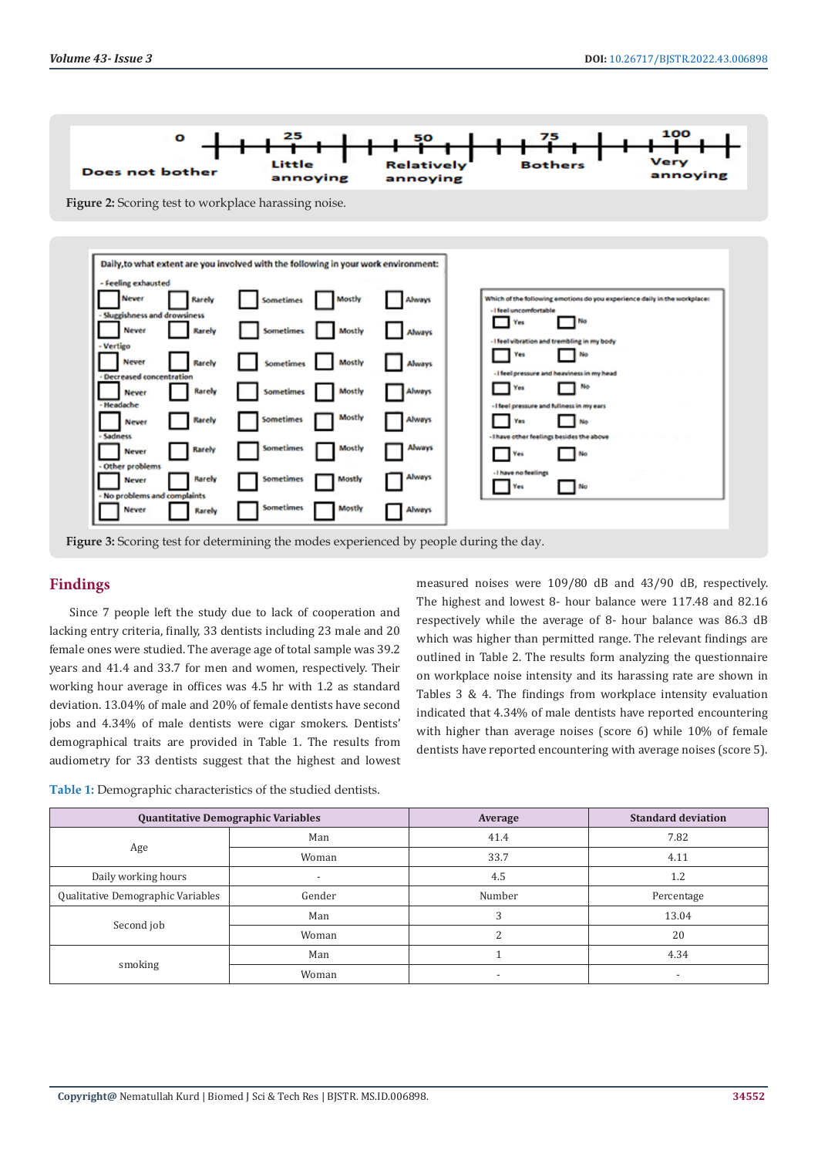



## **Findings**

Since 7 people left the study due to lack of cooperation and lacking entry criteria, finally, 33 dentists including 23 male and 20 female ones were studied. The average age of total sample was 39.2 years and 41.4 and 33.7 for men and women, respectively. Their working hour average in offices was 4.5 hr with 1.2 as standard deviation. 13.04% of male and 20% of female dentists have second jobs and 4.34% of male dentists were cigar smokers. Dentists' demographical traits are provided in Table 1. The results from audiometry for 33 dentists suggest that the highest and lowest measured noises were 109/80 dB and 43/90 dB, respectively. The highest and lowest 8- hour balance were 117.48 and 82.16 respectively while the average of 8- hour balance was 86.3 dB which was higher than permitted range. The relevant findings are outlined in Table 2. The results form analyzing the questionnaire on workplace noise intensity and its harassing rate are shown in Tables 3 & 4. The findings from workplace intensity evaluation indicated that 4.34% of male dentists have reported encountering with higher than average noises (score 6) while 10% of female dentists have reported encountering with average noises (score 5).

**Table 1:** Demographic characteristics of the studied dentists.

| <b>Quantitative Demographic Variables</b> |                | Average | <b>Standard deviation</b> |  |
|-------------------------------------------|----------------|---------|---------------------------|--|
| Age                                       | Man            | 41.4    | 7.82                      |  |
|                                           | Woman          | 33.7    | 4.11                      |  |
| Daily working hours                       | $\overline{a}$ | 4.5     | 1.2                       |  |
| Qualitative Demographic Variables         | Gender         | Number  | Percentage                |  |
| Second job                                | Man            |         | 13.04                     |  |
|                                           | Woman          |         | 20                        |  |
| smoking                                   | Man            |         | 4.34                      |  |
|                                           | Woman          |         | $\overline{\phantom{a}}$  |  |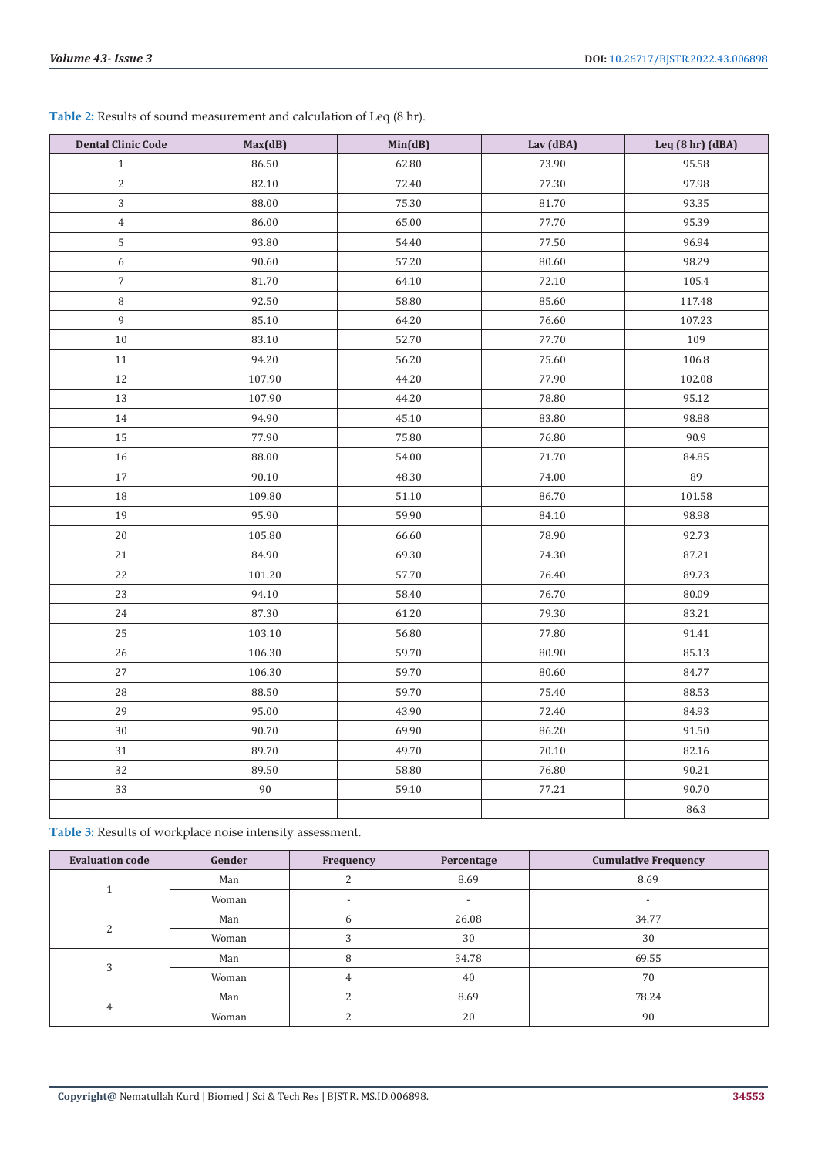| <b>Dental Clinic Code</b> | Max(dB) | Min(dB) | Lav (dBA) | Leq (8 hr) (dBA) |
|---------------------------|---------|---------|-----------|------------------|
| $\mathbf{1}$              | 86.50   | 62.80   | 73.90     | 95.58            |
| $\sqrt{2}$                | 82.10   | 72.40   | 77.30     | 97.98            |
| 3                         | 88.00   | 75.30   | 81.70     | 93.35            |
| $\overline{4}$            | 86.00   | 65.00   | 77.70     | 95.39            |
| 5                         | 93.80   | 54.40   | 77.50     | 96.94            |
| $\boldsymbol{6}$          | 90.60   | 57.20   | 80.60     | 98.29            |
| $\overline{7}$            | 81.70   | 64.10   | 72.10     | 105.4            |
| 8                         | 92.50   | 58.80   | 85.60     | 117.48           |
| 9                         | 85.10   | 64.20   | 76.60     | 107.23           |
| 10                        | 83.10   | 52.70   | 77.70     | 109              |
| 11                        | 94.20   | 56.20   | 75.60     | 106.8            |
| 12                        | 107.90  | 44.20   | 77.90     | 102.08           |
| 13                        | 107.90  | 44.20   | 78.80     | 95.12            |
| 14                        | 94.90   | 45.10   | 83.80     | 98.88            |
| $15\,$                    | 77.90   | 75.80   | 76.80     | 90.9             |
| 16                        | 88.00   | 54.00   | 71.70     | 84.85            |
| 17                        | 90.10   | 48.30   | 74.00     | 89               |
| 18                        | 109.80  | 51.10   | 86.70     | 101.58           |
| 19                        | 95.90   | 59.90   | 84.10     | 98.98            |
| 20                        | 105.80  | 66.60   | 78.90     | 92.73            |
| 21                        | 84.90   | 69.30   | 74.30     | 87.21            |
| 22                        | 101.20  | 57.70   | 76.40     | 89.73            |
| 23                        | 94.10   | 58.40   | 76.70     | 80.09            |
| 24                        | 87.30   | 61.20   | 79.30     | 83.21            |
| 25                        | 103.10  | 56.80   | 77.80     | 91.41            |
| 26                        | 106.30  | 59.70   | 80.90     | 85.13            |
| 27                        | 106.30  | 59.70   | 80.60     | 84.77            |
| 28                        | 88.50   | 59.70   | 75.40     | 88.53            |
| 29                        | 95.00   | 43.90   | 72.40     | 84.93            |
| 30                        | 90.70   | 69.90   | 86.20     | 91.50            |
| 31                        | 89.70   | 49.70   | 70.10     | 82.16            |
| 32                        | 89.50   | 58.80   | 76.80     | 90.21            |
| 33                        | $90\,$  | 59.10   | 77.21     | 90.70            |
|                           |         |         |           | 86.3             |

**Table 2:** Results of sound measurement and calculation of Leq (8 hr).

**Table 3:** Results of workplace noise intensity assessment.

| <b>Evaluation code</b> | Gender | Frequency | Percentage | <b>Cumulative Frequency</b> |
|------------------------|--------|-----------|------------|-----------------------------|
|                        | Man    |           | 8.69       | 8.69                        |
|                        | Woman  |           |            |                             |
| ∍                      | Man    | 6         | 26.08      | 34.77                       |
|                        | Woman  |           | 30         | 30                          |
| 3                      | Man    | 8         | 34.78      | 69.55                       |
|                        | Woman  | 4         | 40         | 70                          |
| 4                      | Man    |           | 8.69       | 78.24                       |
|                        | Woman  |           | 20         | 90                          |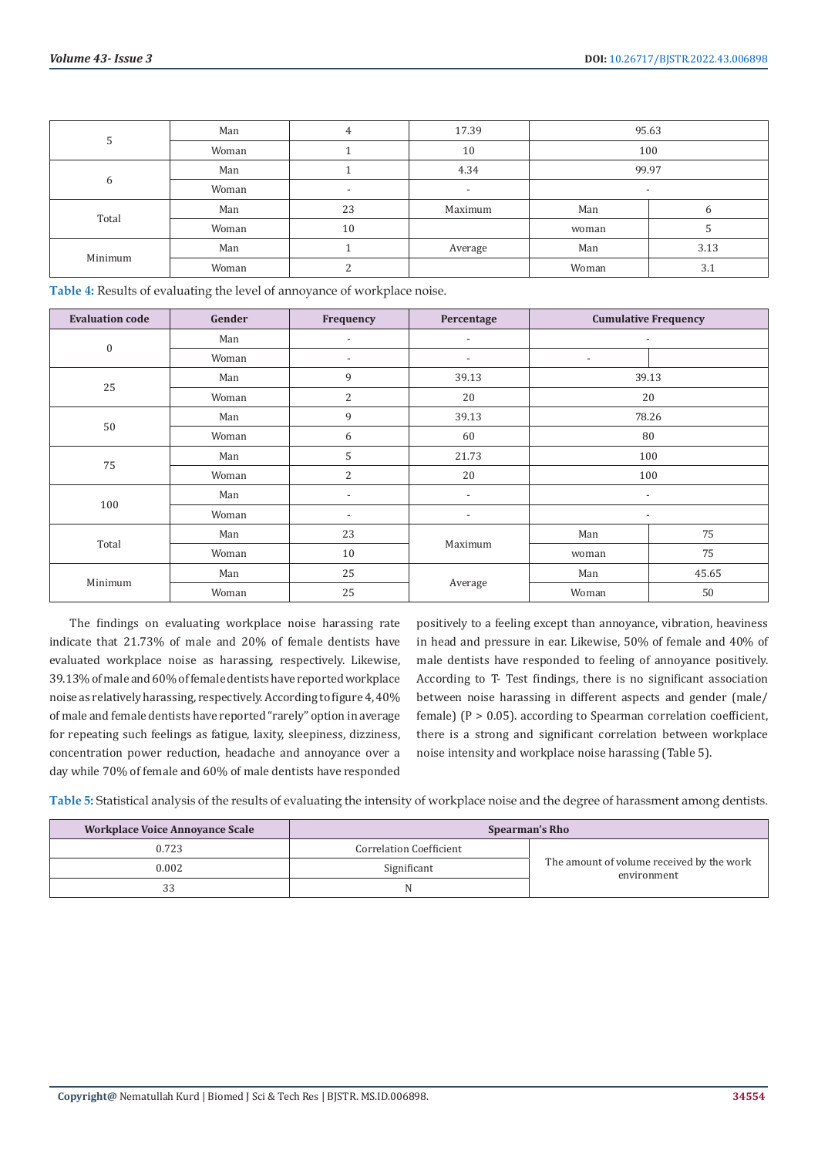| C       | Man   | 4                        | 17.39                    | 95.63                    |      |
|---------|-------|--------------------------|--------------------------|--------------------------|------|
|         | Woman |                          | 10                       | 100                      |      |
|         | Man   |                          | 4.34                     | 99.97                    |      |
| 6       | Woman | $\overline{\phantom{a}}$ | $\overline{\phantom{0}}$ | $\overline{\phantom{a}}$ |      |
| Total   | Man   | 23                       | Maximum                  | Man                      |      |
|         | Woman | 10                       |                          | woman                    |      |
| Minimum | Man   |                          | Average                  | Man                      | 3.13 |
|         | Woman |                          |                          | Woman                    | 3.1  |

**Table 4:** Results of evaluating the level of annoyance of workplace noise.

| <b>Evaluation code</b> | Gender | Frequency                | Percentage               | <b>Cumulative Frequency</b> |       |
|------------------------|--------|--------------------------|--------------------------|-----------------------------|-------|
| $\boldsymbol{0}$       | Man    | $\overline{a}$           | $\overline{a}$           |                             |       |
|                        | Woman  | $\overline{\phantom{a}}$ | $\overline{\phantom{a}}$ | $\overline{\phantom{a}}$    |       |
| 25                     | Man    | 9                        | 39.13                    | 39.13                       |       |
|                        | Woman  | $\overline{2}$           | 20                       | 20                          |       |
|                        | Man    | 9                        | 39.13                    | 78.26                       |       |
| 50                     | Woman  | 6                        | 60                       | 80                          |       |
|                        | Man    | 5                        | 21.73                    | 100                         |       |
| 75<br>Woman            |        | 2                        | 20                       | 100                         |       |
| 100                    | Man    | $\overline{a}$           | $\overline{\phantom{a}}$ | $\overline{\phantom{a}}$    |       |
|                        | Woman  | $\overline{\phantom{a}}$ | $\overline{\phantom{a}}$ | $\overline{\phantom{a}}$    |       |
| Total                  | Man    | 23                       | Maximum                  | Man                         | 75    |
|                        | Woman  | 10                       |                          | woman                       | 75    |
| Minimum                | Man    | 25                       | Average                  | Man                         | 45.65 |
|                        | Woman  | 25                       |                          | Woman                       | 50    |

The findings on evaluating workplace noise harassing rate indicate that 21.73% of male and 20% of female dentists have evaluated workplace noise as harassing, respectively. Likewise, 39.13% of male and 60% of female dentists have reported workplace noise as relatively harassing, respectively. According to figure 4, 40% of male and female dentists have reported "rarely" option in average for repeating such feelings as fatigue, laxity, sleepiness, dizziness, concentration power reduction, headache and annoyance over a day while 70% of female and 60% of male dentists have responded

positively to a feeling except than annoyance, vibration, heaviness in head and pressure in ear. Likewise, 50% of female and 40% of male dentists have responded to feeling of annoyance positively. According to T- Test findings, there is no significant association between noise harassing in different aspects and gender (male/ female)  $(P > 0.05)$ . according to Spearman correlation coefficient, there is a strong and significant correlation between workplace noise intensity and workplace noise harassing (Table 5).

**Table 5:** Statistical analysis of the results of evaluating the intensity of workplace noise and the degree of harassment among dentists.

| <b>Workplace Voice Annoyance Scale</b> |                                | <b>Spearman's Rho</b>                                    |
|----------------------------------------|--------------------------------|----------------------------------------------------------|
| 0.723                                  | <b>Correlation Coefficient</b> |                                                          |
| 0.002                                  | Significant                    | The amount of volume received by the work<br>environment |
| 33                                     |                                |                                                          |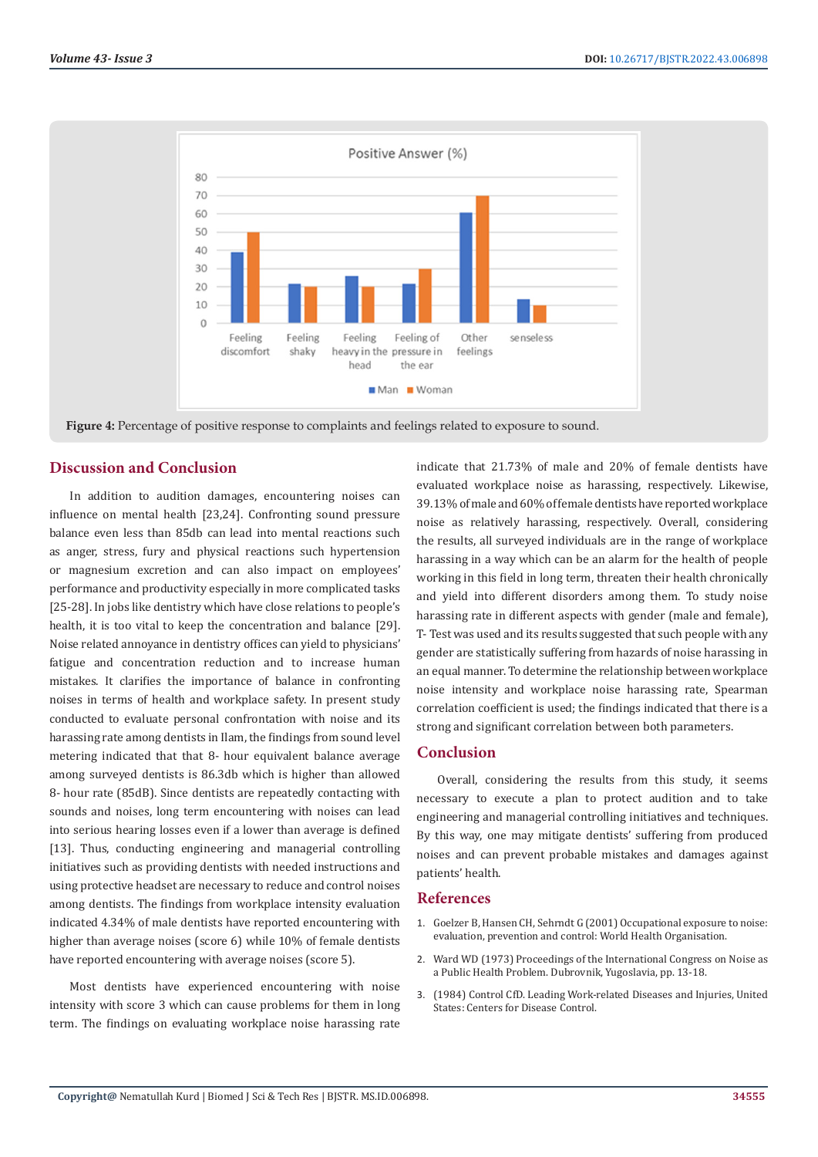

**Figure 4:** Percentage of positive response to complaints and feelings related to exposure to sound.

#### **Discussion and Conclusion**

In addition to audition damages, encountering noises can influence on mental health [23,24]. Confronting sound pressure balance even less than 85db can lead into mental reactions such as anger, stress, fury and physical reactions such hypertension or magnesium excretion and can also impact on employees' performance and productivity especially in more complicated tasks [25-28]. In jobs like dentistry which have close relations to people's health, it is too vital to keep the concentration and balance [29]. Noise related annoyance in dentistry offices can yield to physicians' fatigue and concentration reduction and to increase human mistakes. It clarifies the importance of balance in confronting noises in terms of health and workplace safety. In present study conducted to evaluate personal confrontation with noise and its harassing rate among dentists in Ilam, the findings from sound level metering indicated that that 8- hour equivalent balance average among surveyed dentists is 86.3db which is higher than allowed 8- hour rate (85dB). Since dentists are repeatedly contacting with sounds and noises, long term encountering with noises can lead into serious hearing losses even if a lower than average is defined [13]. Thus, conducting engineering and managerial controlling initiatives such as providing dentists with needed instructions and using protective headset are necessary to reduce and control noises among dentists. The findings from workplace intensity evaluation indicated 4.34% of male dentists have reported encountering with higher than average noises (score 6) while 10% of female dentists have reported encountering with average noises (score 5).

Most dentists have experienced encountering with noise intensity with score 3 which can cause problems for them in long term. The findings on evaluating workplace noise harassing rate

indicate that 21.73% of male and 20% of female dentists have evaluated workplace noise as harassing, respectively. Likewise, 39.13% of male and 60% of female dentists have reported workplace noise as relatively harassing, respectively. Overall, considering the results, all surveyed individuals are in the range of workplace harassing in a way which can be an alarm for the health of people working in this field in long term, threaten their health chronically and yield into different disorders among them. To study noise harassing rate in different aspects with gender (male and female), T- Test was used and its results suggested that such people with any gender are statistically suffering from hazards of noise harassing in an equal manner. To determine the relationship between workplace noise intensity and workplace noise harassing rate, Spearman correlation coefficient is used; the findings indicated that there is a strong and significant correlation between both parameters.

#### **Conclusion**

Overall, considering the results from this study, it seems necessary to execute a plan to protect audition and to take engineering and managerial controlling initiatives and techniques. By this way, one may mitigate dentists' suffering from produced noises and can prevent probable mistakes and damages against patients' health.

#### **References**

- 1. [Goelzer B, Hansen CH, Sehrndt G \(2001\) Occupational exposure to noise:](https://www.worldcat.org/title/occupational-exposure-to-noise-evaluation-prevention-and-control/oclc/48752503) [evaluation, prevention and control: World Health Organisation.](https://www.worldcat.org/title/occupational-exposure-to-noise-evaluation-prevention-and-control/oclc/48752503)
- 2. [Ward WD \(1973\) Proceedings of the International Congress on Noise as](https://nepis.epa.gov/Exe/ZyNET.exe/9101Q7KN.TXT?ZyActionD=ZyDocument&Client=EPA&Index=Prior+to+1976&Docs=&Query=&Time=&EndTime=&SearchMethod=1&TocRestrict=n&Toc=&TocEntry=&QField=&QFieldYear=&QFieldMonth=&QFieldDay=&IntQFieldOp=0&ExtQFieldOp=0&XmlQuery=&File=D%3A%5Czyfiles%5CIndex%20Data%5C70thru75%5CTxt%5C00000024%5C9101Q7KN.txt&User=ANONYMOUS&Password=anonymous&SortMethod=h%7C-&MaximumDocuments=1&FuzzyDegree=0&ImageQuality=r75g8/r75g8/x150y150g16/i425&Display=hpfr&DefSeekPage=x&SearchBack=ZyActionL&Back=ZyActionS&BackDesc=Results%20page&MaximumPages=1&ZyEntry=1&SeekPage=x&ZyPURL) [a Public Health Problem. Dubrovnik, Yugoslavia, pp. 13-18.](https://nepis.epa.gov/Exe/ZyNET.exe/9101Q7KN.TXT?ZyActionD=ZyDocument&Client=EPA&Index=Prior+to+1976&Docs=&Query=&Time=&EndTime=&SearchMethod=1&TocRestrict=n&Toc=&TocEntry=&QField=&QFieldYear=&QFieldMonth=&QFieldDay=&IntQFieldOp=0&ExtQFieldOp=0&XmlQuery=&File=D%3A%5Czyfiles%5CIndex%20Data%5C70thru75%5CTxt%5C00000024%5C9101Q7KN.txt&User=ANONYMOUS&Password=anonymous&SortMethod=h%7C-&MaximumDocuments=1&FuzzyDegree=0&ImageQuality=r75g8/r75g8/x150y150g16/i425&Display=hpfr&DefSeekPage=x&SearchBack=ZyActionL&Back=ZyActionS&BackDesc=Results%20page&MaximumPages=1&ZyEntry=1&SeekPage=x&ZyPURL)
- 3. (1984) Control CfD. Leading Work-related Diseases and Injuries, United States: Centers for Disease Control.